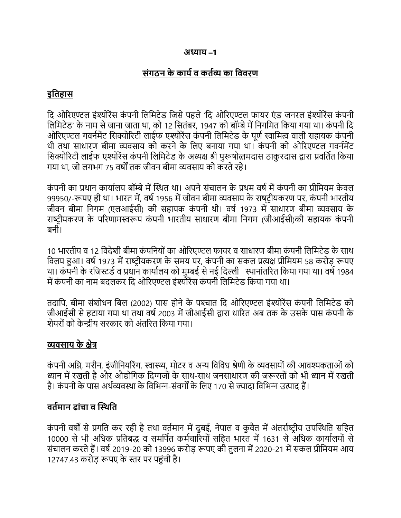### अ̡ याय –1

## संगठन के कार्य व कर्तव्य का विवरण

# इितहास

दि ओरिएण्टल इंश्योरेंस कंपनी लिमिटेड जिसे पहले 'दि ओरिएण्टल फायर एंड जनरल इंश्योरेंस कंपनी लिमिटेड' के नाम से जाना जाता था, को 12 सितंबर, 1947 को बॉम्बे में निगमित किया गया था। कंपनी दि ओरिएण्टल गवर्नमेंट सिक्योरिटी लाईफ एश्योरेंस कंपनी लिमिटेड के पूर्ण स्वामित्व वाली सहायक कंपनी थी तथा साधारण बीमा व्यवसाय को करने के लिए बनाया गया था। कंपनी को ओरिएण्टल गवर्नमेंट सिक्योरिटी लाईफ एश्योरेंस कंपनी लिमिटेड के अध्यक्ष श्री पुरूषोत्तमदास ठाकुरदास द्वारा प्रवर्तित किया गया था, जो लगभग 75 वर्षों तक जीवन बीमा व्यवसाय को करते रहे।

कंपनी का प्रधान कार्यालय बॉम्बे में स्थित था। अपने संचालन के प्रथम वर्ष में कंपनी का प्रीमियम केवल 99950/-रूपए ही था। भारत में, वर्ष 1956 में जीवन बीमा व्यवसाय के राषटीयकरण पर, कंपनी भारतीय जीवन बीमा निगम (एलआईसी) की सहायक कंपनी थी। वर्ष 1973 में साधारण बीमा व्यवसाय के राष्टीयकरण के परिणामस्वरूप कंपनी भारतीय साधारण बीमा निगम (जीआईसी)की सहायक कंपनी बनी।

10 भारतीय व 12 विदेशी बीमा कंपनियों का ओरिएण्टल फायर व साधारण बीमा कंपनी लिमिटेड के साथ विलय हुआ। वर्ष 1973 में राष्ट्रीयकरण के समय पर, कंपनी का सकल प्रत्यक्ष प्रीमियम 58 करोड़ रूपए था। कंपनी के रजिस्टर्ड व प्रधान कार्यालय को मुम्बई से नई दिल्ली क्थानांतरित किया गया था। वर्ष 1984 में कंपनी का नाम बदलकर दि ओरिएण्टल इंश्योरेंस कंपनी लिमिटेड किया गया था।

तदापि, बीमा संशोधन बिल (2002) पास होने के पश्चात दि ओरिएण्टल इंश्योरेंस कंपनी लिमिटेड को जीआईसी से हटाया गया था तथा वर्ष 2003 में जीआईसी द्वारा धारित अब तक के उसके पास कंपनी के शेयरों को केन्द्रीय सरकार को अंतरित किया गया।

## व्यवसाय के क्षेत्र

कंपनी अग्नि, मरीन, इंजीनियरिंग, स्वास्थ्य, मोटर व अन्य विविध श्रेणी के व्यवसायों की आवश्यकताओं को ध्यान में रखती है और औद्योगिक दिग्गजों के साथ-साथ जनसाधारण की जरूरतों को भी ध्यान में रखती है। कंपनी के पास अर्थव्यवस्था के विभिन्न-संवर्गों के लिए 170 से ज्यादा विभिन्न उत्पाद हैं।

## वर्तमान ढांचा व स्थिति

कंपनी वर्षों से प्रगति कर रही है तथा वर्तमान में दुबई, नेपाल व कुवैत में अंतर्राष्टीय उपस्थिति सहित 10000 से भी अधिक प्रतिबद्ध व समर्पित कर्मचारियों सहित भारत में 1631 से अधिक कार्यालयों से संचालन करते हैं। वर्ष 2019-20 को 13996 करोड़ रूपए की तुलना में 2020-21 में सकल प्रीमियम आय 12747.43 करोड़ रूपए के स्तर पर पहुंची है।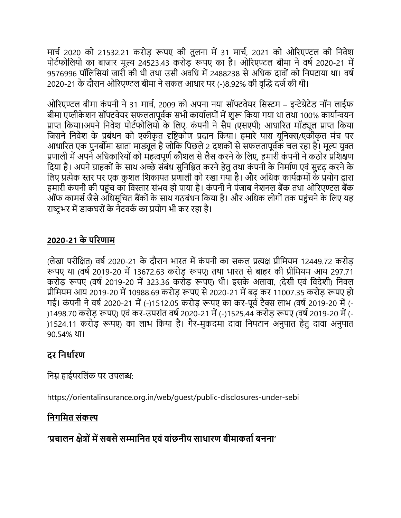मार्च 2020 को 21532.21 करोड़ रूपए की तुलना में 31 मार्च, 2021 को ओरिएण्टल की निवेश पोर्टफोलियो का बाजार मूल्य 24523.43 करोड़ रूपए का है। ओरिएण्टल बीमा ने वर्ष 2020-21 में 9576996 पॉलिसियां जारी की थी तथा उसी अवधि में 2488238 से अधिक दावों को निपटाया था। वर्ष 2020-21 के दौरान ओरिएण्टल बीमा ने सकल आधार पर (-)8.92% की वृद्धि दर्ज की थी।

ओरिएण्टल बीमा कंपनी ने 31 मार्च, 2009 को अपना नया सॉफ्टवेयर सिस्टम – इन्टेग्रेटेड नॉन लाईफ बीमा एप्लीकेशन सॉफ्टवेयर सफलतापूर्वक सभी कार्यालयों में शुरू किया गया था तथा 100% कार्यान्वयन प्राप्त किया।अपने निवेश पोर्टफोलियो के लिए, कंपनी ने सैप (एसएपी) आधारित मॉड्यूल प्राप्त किया जिसने निवेश के प्रबंधन को एकीकृत दृष्टिकोण प्रदान किया। हमारे पास यूनिक्स/एकोकृत मंच पर आधारित एक पुनर्बीमा खाता माड्यूल है जोकि पिछले 2 दशकों से सफलतापूर्वक चल रहा है। मूल्य युक्त प्रणाली में अपने अधिकारियों को महत्वपूर्ण कौशल से लैस करने के लिए, हमारी कंपनी ने कठोर प्रशिक्षण दिया है। अपने ग्राहकों के साथ अच्छे संबंध सुनिश्चित करने हेतु तथा कंपनी के निर्माण एवं सुदृढ़ करने के लिए प्रत्येक स्तर पर एक कुशल शिकायत प्रणाली को रखा गया है। और अधिक कार्यक्रमों के प्रयोग द्वारा हमारी कंपनी की पहुंच का विस्तार संभव हो पाया है। कंपनी ने पंजाब नेशनल बैंक तथा ओरिएण्टल बैंक ऑफ कामर्स जैसे अधिसूचित बैंकों के साथ गठबंधन किया है। और अधिक लोगों तक पहुंचने के लिए यह राष्टभर में डाकघरों के नेटवर्क का प्रयोग भी कर रहा है।

## 2020-21 के पįरणाम

(लेखा परीक्षित) वर्ष 2020-21 के दौरान भारत में कंपनी का सकल प्रत्यक्ष प्रीमियम 12449.72 करोड़ रूपए था (वर्ष 2019-20 में 13672.63 करोड़ रूपए) तथा भारत से बाहर की प्रीमियम आय 297.71 करोड़ रूपए (वर्ष 2019-20 में 323.36 करोड़ रूपए) थी। इसके अलावा, (देसी एवं विदेशी) निवल प्रीमियम आय 2019-20 में 10988.69 करोड़ रूपए से 2020-21 में बढ़ कर 11007.35 करोड़ रूपए हो गई। कंपनी ने वर्ष 2020-21 में (-)1512.05 करोड़ रूपए का कर-पूर्व टैक्स लाभ (वर्ष 2019-20 में (-)1498.70 करोड़ रूपए) एवं कर-उपरांत वर्ष 2020-21 में (-)1525.44 करोड़ रूपए (वर्ष 2019-20 में (-)1524.11 करोड़ रूपए) का लाभ किया है। गैर-मुकदमा दावा निपटान अनुपात हेतु दावा अनुपात 90.54% था।

## दर निर्धारण

निम्न हाईपरलिंक पर उपलब्ध:

https://orientalinsurance.org.in/web/guest/public-disclosures-under-sebi

## निगमित संकल्प

'प्रचालन क्षेत्रों में सबसे सम्मानित एवं वांछनीय साधारण बीमाकर्ता बनना'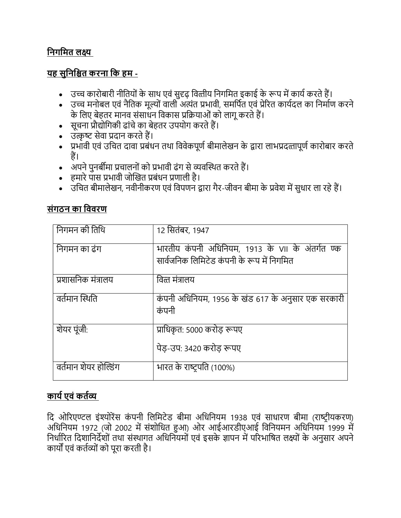# निगमित लक्ष्य

## <u>यह सुनिश्चित करना कि हम -</u>

- उच्च कारोबारी नीतियों के साथ एवं सुदृढ़ वित्तीय निगमित इकाई के रूप में कार्य करते हैं।
- उच्च मनोबल एवं नैतिक मूल्यों वाली अत्यंत प्रभावी, समर्पित एवं प्रेरित कार्यदल का निर्माण करने के लिए बेहतर मानव संसाधन विकास प्रक्रियाओं को लागू करते हैं।
- सूचना प्रौद्योगिकी ढांचे का बेहतर उपयोग करते हैं।
- उत्कृष्ट सेवा प्रदान करते हैं।
- प्रभावी एवं उचित दावा प्रबंधन तथा विवेकपूर्ण बीमालेखन के द्वारा लाभप्रदत्तापूर्ण कारोबार करते हैं।
- अपने पुनर्बीमा प्रचालनों को प्रभावी ढंग से व्यवस्थित करते हैं।
- हमारे पास प्रभावी जोखित प्रबंधन प्रणाली है।
- उचित बीमालेखन, नवीनीकरण एवं विपणन द्वारा गैर-जीवन बीमा के प्रवेश में सुधार ला रहे हैं।

## संगठन का िववरण

| निगमन की तिथि         | 12 सितंबर, 1947                                                                               |
|-----------------------|-----------------------------------------------------------------------------------------------|
| निगमन का ढंग          | भारतीय कंपनी अधिनियम, 1913 के VII के अंतर्गत ण्क<br>सार्वजनिक लिमिटेड कंपनी के रूप में निगमित |
|                       |                                                                                               |
| प्रशासनिक मंत्रालय    | वित्त मंत्रालय                                                                                |
| वर्तमान स्थिति        | कंपनी अधिनियम, 1956 के खंड 617 के अनुसार एक सरकारी<br>कंपनी                                   |
| शेयर पूंजी:           | प्राधिकृत: 5000 करोड़ रूपए                                                                    |
|                       | पेड-उप: 3420 करोड रूपए                                                                        |
| वर्तमान शेयर होल्डिंग | भारत के राष्ट्रपति (100%)                                                                     |

## कार्य एवं कर्तव्य

दि ओरिएण्टल इंश्योरेंस कंपनी लिमिटेड बीमा अधिनियम 1938 एवं साधारण बीमा (राष्ट्रीयकरण) अधिनियम 1972 (जो 2002 में संशोधित हुआ) ओर आईआरडीएआई विनियमन अधिनियम 1999 में निर्धारित दिशानिर्देशों तथा संस्थागत अधिनियमों एवं इसके ज्ञापन में परिभाषित लक्ष्यों के अनुसार अपने कार्यों एवं कर्तव्यों को पूरा करती है।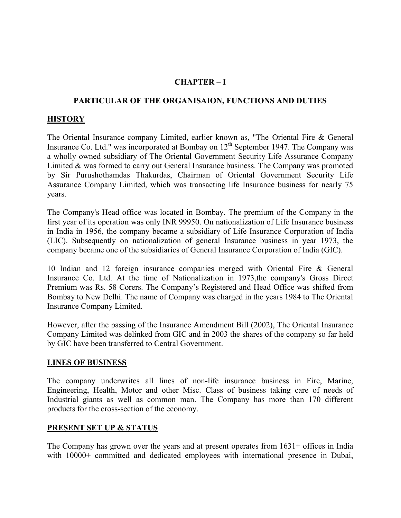### CHAPTER – I

#### PARTICULAR OF THE ORGANISAION, FUNCTIONS AND DUTIES

#### **HISTORY**

The Oriental Insurance company Limited, earlier known as, "The Oriental Fire & General Insurance Co. Ltd." was incorporated at Bombay on  $12<sup>th</sup>$  September 1947. The Company was a wholly owned subsidiary of The Oriental Government Security Life Assurance Company Limited & was formed to carry out General Insurance business. The Company was promoted by Sir Purushothamdas Thakurdas, Chairman of Oriental Government Security Life Assurance Company Limited, which was transacting life Insurance business for nearly 75 years.

The Company's Head office was located in Bombay. The premium of the Company in the first year of its operation was only INR 99950. On nationalization of Life Insurance business in India in 1956, the company became a subsidiary of Life Insurance Corporation of India (LIC). Subsequently on nationalization of general Insurance business in year 1973, the company became one of the subsidiaries of General Insurance Corporation of India (GIC).

10 Indian and 12 foreign insurance companies merged with Oriental Fire & General Insurance Co. Ltd. At the time of Nationalization in 1973,the company's Gross Direct Premium was Rs. 58 Corers. The Company's Registered and Head Office was shifted from Bombay to New Delhi. The name of Company was charged in the years 1984 to The Oriental Insurance Company Limited.

However, after the passing of the Insurance Amendment Bill (2002), The Oriental Insurance Company Limited was delinked from GIC and in 2003 the shares of the company so far held by GIC have been transferred to Central Government.

#### LINES OF BUSINESS

The company underwrites all lines of non-life insurance business in Fire, Marine, Engineering, Health, Motor and other Misc. Class of business taking care of needs of Industrial giants as well as common man. The Company has more than 170 different products for the cross-section of the economy.

### PRESENT SET UP & STATUS

The Company has grown over the years and at present operates from  $1631+$  offices in India with 10000+ committed and dedicated employees with international presence in Dubai,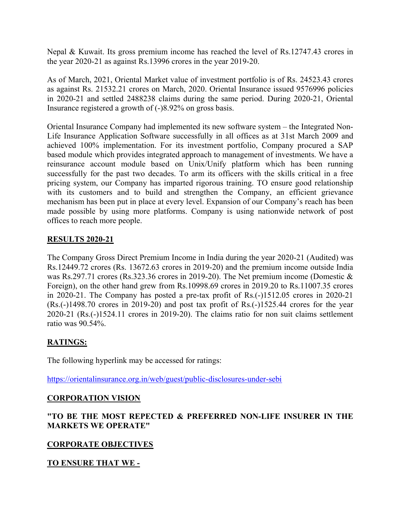Nepal & Kuwait. Its gross premium income has reached the level of Rs.12747.43 crores in the year 2020-21 as against Rs.13996 crores in the year 2019-20.

As of March, 2021, Oriental Market value of investment portfolio is of Rs. 24523.43 crores as against Rs. 21532.21 crores on March, 2020. Oriental Insurance issued 9576996 policies in 2020-21 and settled 2488238 claims during the same period. During 2020-21, Oriental Insurance registered a growth of (-)8.92% on gross basis.

Oriental Insurance Company had implemented its new software system – the Integrated Non-Life Insurance Application Software successfully in all offices as at 31st March 2009 and achieved 100% implementation. For its investment portfolio, Company procured a SAP based module which provides integrated approach to management of investments. We have a reinsurance account module based on Unix/Unify platform which has been running successfully for the past two decades. To arm its officers with the skills critical in a free pricing system, our Company has imparted rigorous training. TO ensure good relationship with its customers and to build and strengthen the Company, an efficient grievance mechanism has been put in place at every level. Expansion of our Company's reach has been made possible by using more platforms. Company is using nationwide network of post offices to reach more people.

### RESULTS 2020-21

The Company Gross Direct Premium Income in India during the year 2020-21 (Audited) was Rs.12449.72 crores (Rs. 13672.63 crores in 2019-20) and the premium income outside India was Rs.297.71 crores (Rs.323.36 crores in 2019-20). The Net premium income (Domestic & Foreign), on the other hand grew from Rs.10998.69 crores in 2019.20 to Rs.11007.35 crores in 2020-21. The Company has posted a pre-tax profit of Rs.(-)1512.05 crores in 2020-21 (Rs.(-)1498.70 crores in 2019-20) and post tax profit of Rs.(-)1525.44 crores for the year 2020-21 (Rs.(-)1524.11 crores in 2019-20). The claims ratio for non suit claims settlement ratio was 90.54%.

## RATINGS:

The following hyperlink may be accessed for ratings:

https://orientalinsurance.org.in/web/guest/public-disclosures-under-sebi

### CORPORATION VISION

### "TO BE THE MOST REPECTED & PREFERRED NON-LIFE INSURER IN THE MARKETS WE OPERATE"

### CORPORATE OBJECTIVES

### TO ENSURE THAT WE -